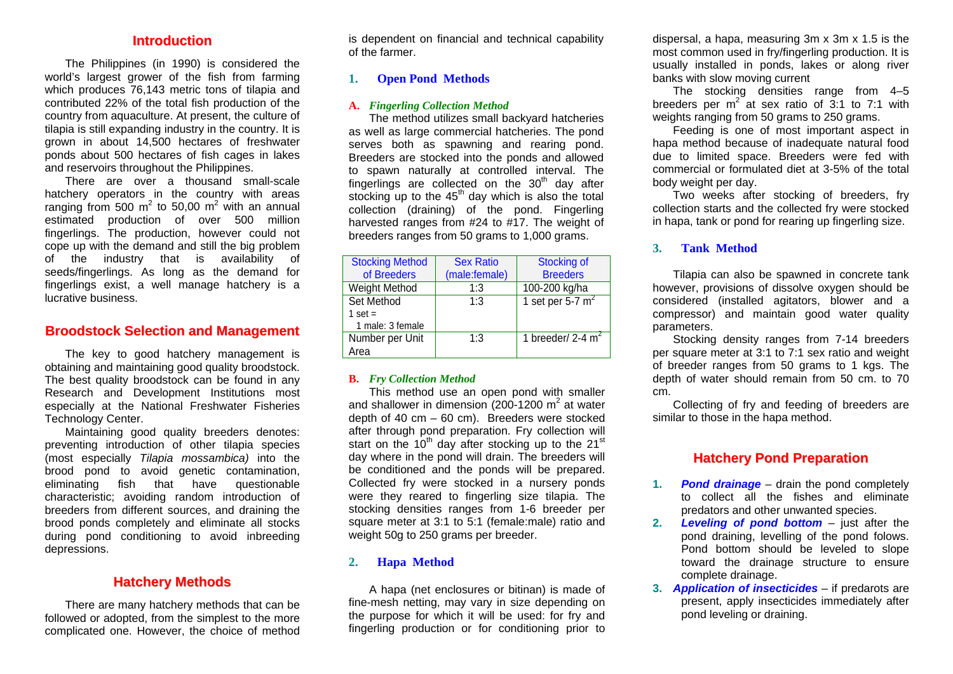#### **Introduction**

The Philippines (in 1990) is considered the world's largest grower of the fish from farming which produces 76,143 metric tons of tilapia and contributed 22% of the total fish production of the country from aquaculture. At present, the culture of tilapia is still expanding industry in the country. It is grown in about 14,500 hectares of freshwater ponds about 500 hectares of fish cages in lakes and reservoirs throughout the Philippines.

 There are over a thousand small-scale hatchery operators in the country with areas ranging from 500  $m^2$  to 50,00  $m^2$  with an annual estimated production of over 500 million fingerlings. The production, however could not cope up with the demand and still the big problem of the industry that is availability of seeds/fingerlings. As long as the demand for fingerlings exist, a well manage hatchery is a lucrative business.

# **BroodstockSelectionandManag ement**

 The key to good hatchery management is obtaining and maintaining good quality broodstock. The best quality broodstock can be found in any Research and Development Institutions most especially at the National Freshwater Fisheries Technology Center.

Maintaining good quality breeders denotes: preventing introduction of other tilapia species (most especially *Tilapia mossambica)* into the brood pond to avoid genetic contamination, eliminating fish that have questionable characteristic; avoiding random introduction of breeders from different sources, and draining the brood ponds completely and eliminate all stocks during pond conditioning to avoid inbreeding depressions.

#### **Hatchery Methods**

 There are many hatchery methods that can be followed or adopted, from the simplest to the more complicated one. However, the choice of method is dependent on financial and technical capability of the farmer.

#### **1.Open Pond Methods**

#### **A.** *Fingerling Collection Method*

 The method utilizes small backyard hatcheries as well as large commercial hatcheries. The pond serves both as spawning and rearing pond. Breeders are stocked into the ponds and allowed to spawn naturally at controlled interval. The fingerlings are collected on the  $30<sup>th</sup>$  day after stocking up to the  $45<sup>th</sup>$  day which is also the total collection (draining) of the pond. Fingerling harvested ranges from #24 to #17. The weight of breeders ranges from 50 grams to 1,000 grams.

| <b>Stocking Method</b><br>of Breeders       | <b>Sex Ratio</b><br>(male:female) | <b>Stocking of</b><br><b>Breeders</b> |
|---------------------------------------------|-----------------------------------|---------------------------------------|
| Weight Method                               | 1:3                               | 100-200 kg/ha                         |
| Set Method<br>1 set $=$<br>1 male: 3 female | 1:3                               | 1 set per 5-7 $m2$                    |
| Number per Unit<br>Area                     | 1:3                               | 1 breeder/ $2-4$ m <sup>2</sup>       |

#### **B.** *Fry Collection Method*

 This method use an open pond with smaller and shallower in dimension  $(200-1200 \text{ m}^2 \text{ at water})$ depth of 40 cm  $-$  60 cm). Breeders were stocked after through pond preparation. Fry collection will start on the  $10^{th}$  day after stocking up to the 21<sup>st</sup> day where in the pond will drain. The breeders will be conditioned and the ponds will be prepared. Collected fry were stocked in a nursery ponds were they reared to fingerling size tilapia. The stocking densities ranges from 1-6 breeder per square meter at 3:1 to 5:1 (female:male) ratio and weight 50g to 250 grams per breeder.

#### **2.Hapa Method**

 A hapa (net enclosures or bitinan) is made of fine-mesh netting, may vary in size depending on the purpose for which it will be used: for fry and fingerling production or for conditioning prior to

dispersal, a hapa, measuring 3m x 3m x 1.5 is the most common used in fry/fingerling production. It is usually installed in ponds, lakes or along river banks with slow moving current

The stocking densities range from 4-5 breeders per  $m^2$  at sex ratio of 3:1 to 7:1 with weights ranging from 50 grams to 250 grams.

 Feeding is one of most important aspect in hapa method because of inadequate natural food due to limited space. Breeders were fed with commercial or formulated diet at 3-5% of the total body weight per day.

 Two weeks after stocking of breeders, fry collection starts and the collected fry were stocked in hapa, tank or pond for rearing up fingerling size.

#### **3.Tank Method**

 Tilapia can also be spawned in concrete tank however, provisions of dissolve oxygen should be considered (installed agitators, blower and a compressor) and maintain good water quality parameters.

 Stocking density ranges from 7-14 breeders per square meter at 3:1 to 7:1 sex ratio and weight of breeder ranges from 50 grams to 1 kgs. The depth of water should remain from 50 cm. to 70 cm.

 Collecting of fry and feeding of breeders are similar to those in the hapa method.

# **Hatchery Pond Preparation**

- **1. Pond drainage** – drain the pond completely to collect all the fishes and eliminate predators and other unwanted species.
- **2. Leveling of pond bottom** – just after the pond draining, levelling of the pond folows. Pond bottom should be leveled to slope toward the drainage structure to ensure complete drainage.
- **3.**  *Application of insecticides* if predarots are present, apply insecticides immediately after pond leveling or draining.